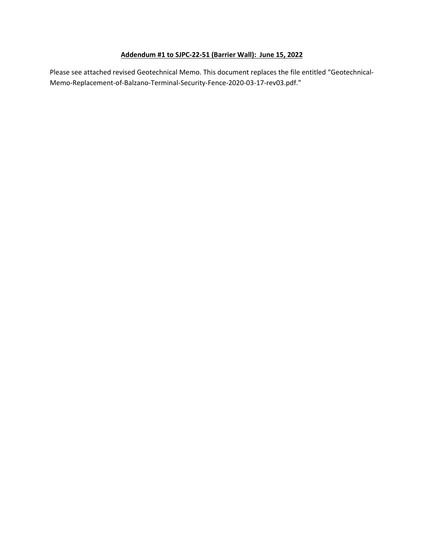# **Addendum #1 to SJPC-22-51 (Barrier Wall): June 15, 2022**

Please see attached revised Geotechnical Memo. This document replaces the file entitled "Geotechnical-Memo-Replacement-of-Balzano-Terminal-Security-Fence-2020-03-17-rev03.pdf."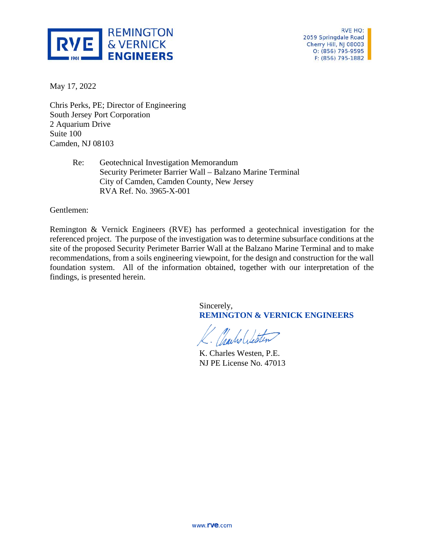

RVE HQ: 2059 Springdale Road Cherry Hill, NJ 08003 O: (856) 795-9595 F: (856) 795-1882

May 17, 2022

Chris Perks, PE; Director of Engineering South Jersey Port Corporation 2 Aquarium Drive Suite 100 Camden, NJ 08103

> Re: Geotechnical Investigation Memorandum Security Perimeter Barrier Wall – Balzano Marine Terminal City of Camden, Camden County, New Jersey RVA Ref. No. 3965-X-001

Gentlemen:

Remington & Vernick Engineers (RVE) has performed a geotechnical investigation for the referenced project. The purpose of the investigation was to determine subsurface conditions at the site of the proposed Security Perimeter Barrier Wall at the Balzano Marine Terminal and to make recommendations, from a soils engineering viewpoint, for the design and construction for the wall foundation system. All of the information obtained, together with our interpretation of the findings, is presented herein.

> Sincerely, **REMINGTON & VERNICK ENGINEERS**

K. Charles Westen, P.E. NJ PE License No. 47013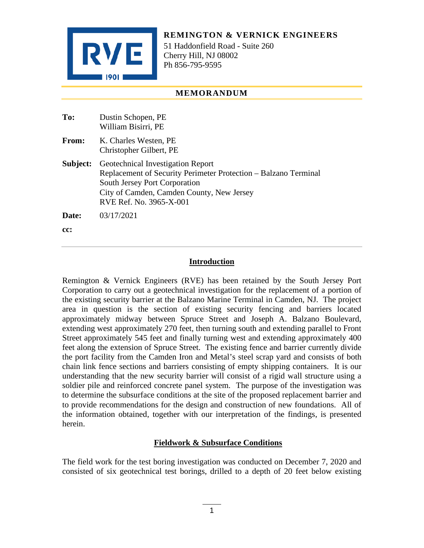

**REMINGTON & VERNICK ENGINEERS**

51 Haddonfield Road - Suite 260 Cherry Hill, NJ 08002 Ph 856-795-9595

# **MEMORANDUM**

| To:      | Dustin Schopen, PE<br>William Bisirri, PE                                                                                                                                                                     |
|----------|---------------------------------------------------------------------------------------------------------------------------------------------------------------------------------------------------------------|
| From:    | K. Charles Westen, PE<br>Christopher Gilbert, PE                                                                                                                                                              |
| Subject: | Geotechnical Investigation Report<br>Replacement of Security Perimeter Protection – Balzano Terminal<br>South Jersey Port Corporation<br>City of Camden, Camden County, New Jersey<br>RVE Ref. No. 3965-X-001 |
| Date:    | 03/17/2021                                                                                                                                                                                                    |

**cc:**

# **Introduction**

Remington & Vernick Engineers (RVE) has been retained by the South Jersey Port Corporation to carry out a geotechnical investigation for the replacement of a portion of the existing security barrier at the Balzano Marine Terminal in Camden, NJ. The project area in question is the section of existing security fencing and barriers located approximately midway between Spruce Street and Joseph A. Balzano Boulevard, extending west approximately 270 feet, then turning south and extending parallel to Front Street approximately 545 feet and finally turning west and extending approximately 400 feet along the extension of Spruce Street. The existing fence and barrier currently divide the port facility from the Camden Iron and Metal's steel scrap yard and consists of both chain link fence sections and barriers consisting of empty shipping containers. It is our understanding that the new security barrier will consist of a rigid wall structure using a soldier pile and reinforced concrete panel system. The purpose of the investigation was to determine the subsurface conditions at the site of the proposed replacement barrier and to provide recommendations for the design and construction of new foundations. All of the information obtained, together with our interpretation of the findings, is presented herein.

# **Fieldwork & Subsurface Conditions**

The field work for the test boring investigation was conducted on December 7, 2020 and consisted of six geotechnical test borings, drilled to a depth of 20 feet below existing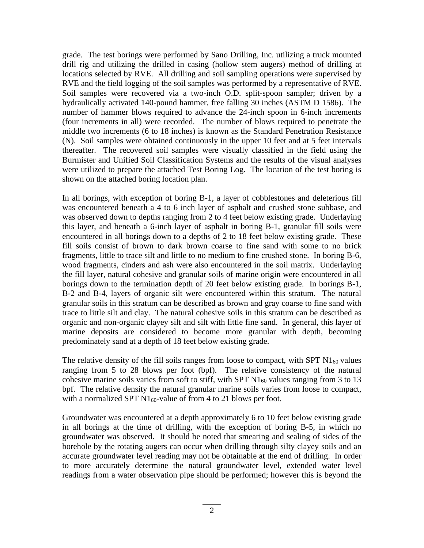grade. The test borings were performed by Sano Drilling, Inc. utilizing a truck mounted drill rig and utilizing the drilled in casing (hollow stem augers) method of drilling at locations selected by RVE. All drilling and soil sampling operations were supervised by RVE and the field logging of the soil samples was performed by a representative of RVE. Soil samples were recovered via a two-inch O.D. split-spoon sampler; driven by a hydraulically activated 140-pound hammer, free falling 30 inches (ASTM D 1586). The number of hammer blows required to advance the 24-inch spoon in 6-inch increments (four increments in all) were recorded. The number of blows required to penetrate the middle two increments (6 to 18 inches) is known as the Standard Penetration Resistance (N). Soil samples were obtained continuously in the upper 10 feet and at 5 feet intervals thereafter. The recovered soil samples were visually classified in the field using the Burmister and Unified Soil Classification Systems and the results of the visual analyses were utilized to prepare the attached Test Boring Log. The location of the test boring is shown on the attached boring location plan.

In all borings, with exception of boring B-1, a layer of cobblestones and deleterious fill was encountered beneath a 4 to 6 inch layer of asphalt and crushed stone subbase, and was observed down to depths ranging from 2 to 4 feet below existing grade. Underlaying this layer, and beneath a 6-inch layer of asphalt in boring B-1, granular fill soils were encountered in all borings down to a depths of 2 to 18 feet below existing grade. These fill soils consist of brown to dark brown coarse to fine sand with some to no brick fragments, little to trace silt and little to no medium to fine crushed stone. In boring B-6, wood fragments, cinders and ash were also encountered in the soil matrix. Underlaying the fill layer, natural cohesive and granular soils of marine origin were encountered in all borings down to the termination depth of 20 feet below existing grade. In borings B-1, B-2 and B-4, layers of organic silt were encountered within this stratum. The natural granular soils in this stratum can be described as brown and gray coarse to fine sand with trace to little silt and clay. The natural cohesive soils in this stratum can be described as organic and non-organic clayey silt and silt with little fine sand. In general, this layer of marine deposits are considered to become more granular with depth, becoming predominately sand at a depth of 18 feet below existing grade.

The relative density of the fill soils ranges from loose to compact, with SPT  $N1_{60}$  values ranging from 5 to 28 blows per foot (bpf). The relative consistency of the natural cohesive marine soils varies from soft to stiff, with SPT  $N1_{60}$  values ranging from 3 to 13 bpf. The relative density the natural granular marine soils varies from loose to compact, with a normalized SPT  $N1_{60}$ -value of from 4 to 21 blows per foot.

Groundwater was encountered at a depth approximately 6 to 10 feet below existing grade in all borings at the time of drilling, with the exception of boring B-5, in which no groundwater was observed. It should be noted that smearing and sealing of sides of the borehole by the rotating augers can occur when drilling through silty clayey soils and an accurate groundwater level reading may not be obtainable at the end of drilling. In order to more accurately determine the natural groundwater level, extended water level readings from a water observation pipe should be performed; however this is beyond the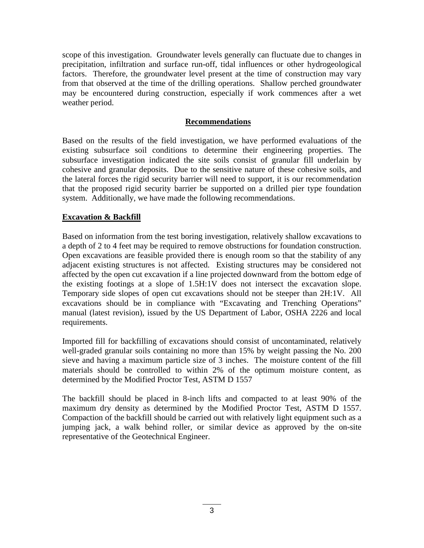scope of this investigation. Groundwater levels generally can fluctuate due to changes in precipitation, infiltration and surface run-off, tidal influences or other hydrogeological factors. Therefore, the groundwater level present at the time of construction may vary from that observed at the time of the drilling operations. Shallow perched groundwater may be encountered during construction, especially if work commences after a wet weather period.

# **Recommendations**

Based on the results of the field investigation, we have performed evaluations of the existing subsurface soil conditions to determine their engineering properties. The subsurface investigation indicated the site soils consist of granular fill underlain by cohesive and granular deposits. Due to the sensitive nature of these cohesive soils, and the lateral forces the rigid security barrier will need to support, it is our recommendation that the proposed rigid security barrier be supported on a drilled pier type foundation system. Additionally, we have made the following recommendations.

# **Excavation & Backfill**

Based on information from the test boring investigation, relatively shallow excavations to a depth of 2 to 4 feet may be required to remove obstructions for foundation construction. Open excavations are feasible provided there is enough room so that the stability of any adjacent existing structures is not affected. Existing structures may be considered not affected by the open cut excavation if a line projected downward from the bottom edge of the existing footings at a slope of 1.5H:1V does not intersect the excavation slope. Temporary side slopes of open cut excavations should not be steeper than 2H:1V. All excavations should be in compliance with "Excavating and Trenching Operations" manual (latest revision), issued by the US Department of Labor, OSHA 2226 and local requirements.

Imported fill for backfilling of excavations should consist of uncontaminated, relatively well-graded granular soils containing no more than 15% by weight passing the No. 200 sieve and having a maximum particle size of 3 inches. The moisture content of the fill materials should be controlled to within 2% of the optimum moisture content, as determined by the Modified Proctor Test, ASTM D 1557

The backfill should be placed in 8-inch lifts and compacted to at least 90% of the maximum dry density as determined by the Modified Proctor Test, ASTM D 1557. Compaction of the backfill should be carried out with relatively light equipment such as a jumping jack, a walk behind roller, or similar device as approved by the on-site representative of the Geotechnical Engineer.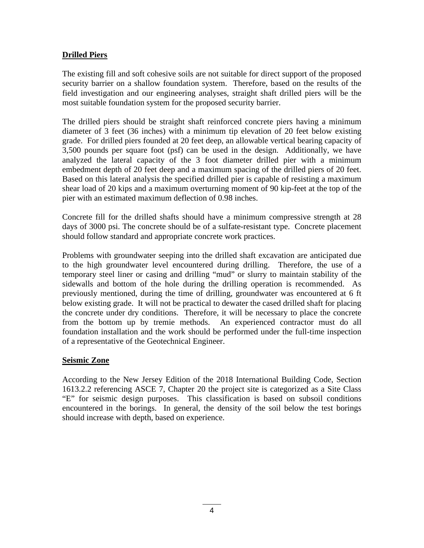# **Drilled Piers**

The existing fill and soft cohesive soils are not suitable for direct support of the proposed security barrier on a shallow foundation system. Therefore, based on the results of the field investigation and our engineering analyses, straight shaft drilled piers will be the most suitable foundation system for the proposed security barrier.

The drilled piers should be straight shaft reinforced concrete piers having a minimum diameter of 3 feet (36 inches) with a minimum tip elevation of 20 feet below existing grade. For drilled piers founded at 20 feet deep, an allowable vertical bearing capacity of 3,500 pounds per square foot (psf) can be used in the design. Additionally, we have analyzed the lateral capacity of the 3 foot diameter drilled pier with a minimum embedment depth of 20 feet deep and a maximum spacing of the drilled piers of 20 feet. Based on this lateral analysis the specified drilled pier is capable of resisting a maximum shear load of 20 kips and a maximum overturning moment of 90 kip-feet at the top of the pier with an estimated maximum deflection of 0.98 inches.

Concrete fill for the drilled shafts should have a minimum compressive strength at 28 days of 3000 psi. The concrete should be of a sulfate-resistant type. Concrete placement should follow standard and appropriate concrete work practices.

Problems with groundwater seeping into the drilled shaft excavation are anticipated due to the high groundwater level encountered during drilling. Therefore, the use of a temporary steel liner or casing and drilling "mud" or slurry to maintain stability of the sidewalls and bottom of the hole during the drilling operation is recommended. As previously mentioned, during the time of drilling, groundwater was encountered at 6 ft below existing grade. It will not be practical to dewater the cased drilled shaft for placing the concrete under dry conditions. Therefore, it will be necessary to place the concrete from the bottom up by tremie methods. An experienced contractor must do all foundation installation and the work should be performed under the full-time inspection of a representative of the Geotechnical Engineer.

# **Seismic Zone**

According to the New Jersey Edition of the 2018 International Building Code, Section 1613.2.2 referencing ASCE 7, Chapter 20 the project site is categorized as a Site Class "E" for seismic design purposes. This classification is based on subsoil conditions encountered in the borings. In general, the density of the soil below the test borings should increase with depth, based on experience.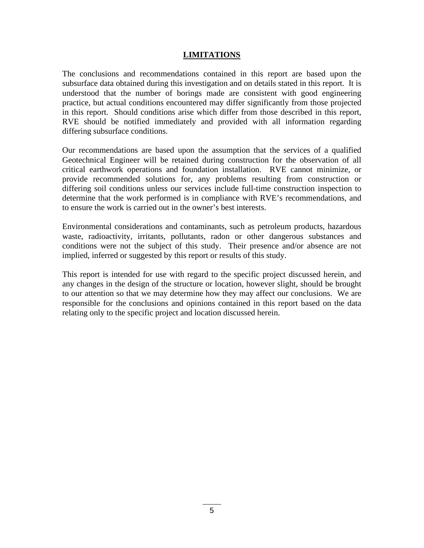# **LIMITATIONS**

The conclusions and recommendations contained in this report are based upon the subsurface data obtained during this investigation and on details stated in this report. It is understood that the number of borings made are consistent with good engineering practice, but actual conditions encountered may differ significantly from those projected in this report. Should conditions arise which differ from those described in this report, RVE should be notified immediately and provided with all information regarding differing subsurface conditions.

Our recommendations are based upon the assumption that the services of a qualified Geotechnical Engineer will be retained during construction for the observation of all critical earthwork operations and foundation installation. RVE cannot minimize, or provide recommended solutions for, any problems resulting from construction or differing soil conditions unless our services include full-time construction inspection to determine that the work performed is in compliance with RVE's recommendations, and to ensure the work is carried out in the owner's best interests.

Environmental considerations and contaminants, such as petroleum products, hazardous waste, radioactivity, irritants, pollutants, radon or other dangerous substances and conditions were not the subject of this study. Their presence and/or absence are not implied, inferred or suggested by this report or results of this study.

This report is intended for use with regard to the specific project discussed herein, and any changes in the design of the structure or location, however slight, should be brought to our attention so that we may determine how they may affect our conclusions. We are responsible for the conclusions and opinions contained in this report based on the data relating only to the specific project and location discussed herein.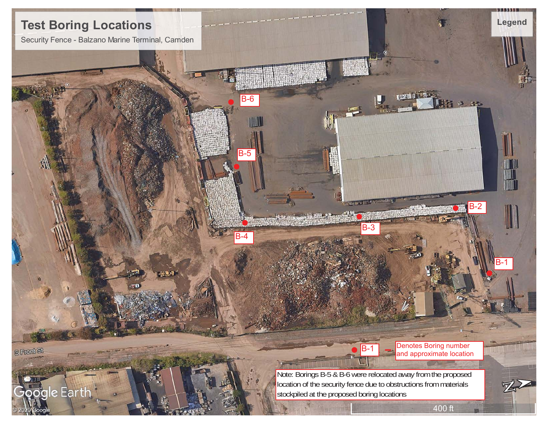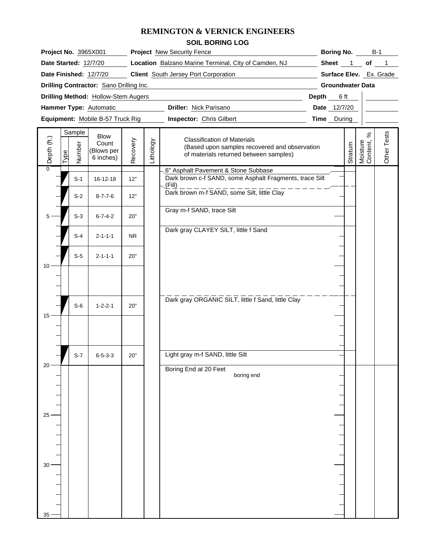|                                   |      |                  |                                          |                                                                                           |           | <b>REMINGTON &amp; VERNICK ENGINEERS</b>                                                                                      |                     |                         |                              |             |  |  |  |
|-----------------------------------|------|------------------|------------------------------------------|-------------------------------------------------------------------------------------------|-----------|-------------------------------------------------------------------------------------------------------------------------------|---------------------|-------------------------|------------------------------|-------------|--|--|--|
|                                   |      |                  |                                          |                                                                                           |           | <b>SOIL BORING LOG</b>                                                                                                        |                     |                         |                              |             |  |  |  |
|                                   |      |                  | Project No. 3965X001                     |                                                                                           |           | <b>Project</b> New Security Fence                                                                                             | Boring No.<br>$B-1$ |                         |                              |             |  |  |  |
|                                   |      |                  | Date Started: 12/7/20                    | Location Balzano Marine Terminal, City of Camden, NJ                                      |           | Sheet 1 of 1                                                                                                                  |                     |                         |                              |             |  |  |  |
|                                   |      |                  | Date Finished: 12/7/20                   |                                                                                           |           | <b>Client</b> South Jersey Port Corporation                                                                                   |                     | Surface Elev. Ex. Grade |                              |             |  |  |  |
|                                   |      |                  | Drilling Contractor: Sano Drilling Inc.  | the control of the control of the control of the control of the control of the control of |           | <b>Groundwater Data</b>                                                                                                       |                     |                         |                              |             |  |  |  |
|                                   |      |                  | Drilling Method: Hollow-Stem Augers      |                                                                                           |           | Depth 6 ft                                                                                                                    |                     |                         |                              |             |  |  |  |
|                                   |      |                  | Hammer Type: Automatic                   | Driller: Nick Parisano                                                                    |           | Date 12/7/20                                                                                                                  |                     |                         |                              |             |  |  |  |
|                                   |      |                  | Equipment: Mobile B-57 Truck Rig         |                                                                                           |           | <b>Inspector: Chris Gilbert</b>                                                                                               |                     | Time During             |                              |             |  |  |  |
| $(\mathsf{t}\mathsf{.})$<br>Depth | Type | Sample<br>Number | Blow<br>Count<br>(Blows per<br>6 inches) | Recovery                                                                                  | Lithology | <b>Classification of Materials</b><br>(Based upon samples recovered and observation<br>of materials returned between samples) |                     | Stratum                 | $\%$<br>Moisture<br>Content, | Other Tests |  |  |  |
| 0                                 |      | $S-1$            | 16-12-18                                 | 12"                                                                                       |           | 6" Asphalt Pavement & Stone Subbase<br>Dark brown c-f SAND, some Asphalt Fragments, trace Silt                                |                     |                         |                              |             |  |  |  |
|                                   |      | $S-2$            | $8 - 7 - 7 - 6$                          | 12"                                                                                       |           | $\sqrt{Fill}$<br>Dark brown m-f SAND, some Silt, little Clay                                                                  |                     |                         |                              |             |  |  |  |
|                                   |      | $S-3$            | $6 - 7 - 4 - 2$                          | 20"                                                                                       |           | Gray m-f SAND, trace Silt                                                                                                     |                     |                         |                              |             |  |  |  |
|                                   |      | $S-4$            | $2 - 1 - 1 - 1$                          | <b>NR</b>                                                                                 |           | Dark gray CLAYEY SILT, little f Sand                                                                                          |                     |                         |                              |             |  |  |  |
|                                   |      | $S-5$            | $2 - 1 - 1 - 1$                          | 20"                                                                                       |           |                                                                                                                               |                     |                         |                              |             |  |  |  |
| 10                                |      |                  |                                          |                                                                                           |           |                                                                                                                               |                     |                         |                              |             |  |  |  |
|                                   |      |                  |                                          |                                                                                           |           | Dark gray ORGANIC SILT, little f Sand, little Clay                                                                            |                     |                         |                              |             |  |  |  |
| 15                                |      | $S-6$            | $1 - 2 - 2 - 1$                          | 20"                                                                                       |           |                                                                                                                               |                     |                         |                              |             |  |  |  |
|                                   |      |                  |                                          |                                                                                           |           |                                                                                                                               |                     |                         |                              |             |  |  |  |
|                                   |      | $S-7$            | $6 - 5 - 3 - 3$                          | 20"                                                                                       |           | Light gray m-f SAND, little Silt                                                                                              |                     |                         |                              |             |  |  |  |
| $20 -$                            |      |                  |                                          |                                                                                           |           | Boring End at 20 Feet<br>boring end                                                                                           |                     |                         |                              |             |  |  |  |
|                                   |      |                  |                                          |                                                                                           |           |                                                                                                                               |                     |                         |                              |             |  |  |  |
| $25 -$                            |      |                  |                                          |                                                                                           |           |                                                                                                                               |                     |                         |                              |             |  |  |  |
|                                   |      |                  |                                          |                                                                                           |           |                                                                                                                               |                     |                         |                              |             |  |  |  |
|                                   |      |                  |                                          |                                                                                           |           |                                                                                                                               |                     |                         |                              |             |  |  |  |
| $30 -$                            |      |                  |                                          |                                                                                           |           |                                                                                                                               |                     |                         |                              |             |  |  |  |
|                                   |      |                  |                                          |                                                                                           |           |                                                                                                                               |                     |                         |                              |             |  |  |  |
| 35                                |      |                  |                                          |                                                                                           |           |                                                                                                                               |                     |                         |                              |             |  |  |  |

 $35 - |$   $|$   $|$   $|$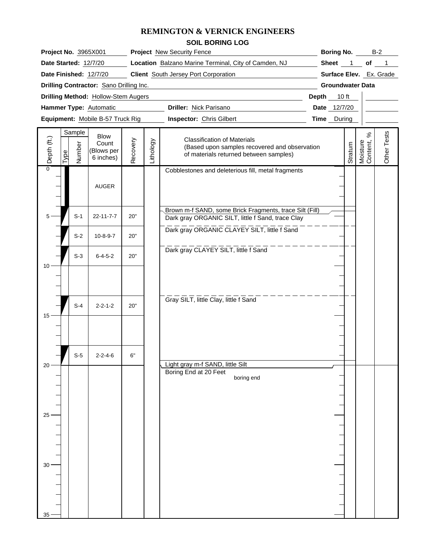|                 |      |                                  |                                          |             |              | <b>REMINGTON &amp; VERNICK ENGINEERS</b>                                                                                      |  |                         |         |                              |             |
|-----------------|------|----------------------------------|------------------------------------------|-------------|--------------|-------------------------------------------------------------------------------------------------------------------------------|--|-------------------------|---------|------------------------------|-------------|
|                 |      |                                  |                                          |             |              | <b>SOIL BORING LOG</b>                                                                                                        |  |                         |         |                              |             |
|                 |      |                                  | Project No. 3965X001                     |             |              | <b>Project</b> New Security Fence                                                                                             |  | <b>Boring No.</b>       |         |                              | $B-2$       |
|                 |      |                                  | Date Started: 12/7/20                    |             |              | Location Balzano Marine Terminal, City of Camden, NJ                                                                          |  | Sheet 1 of 1            |         |                              |             |
|                 |      |                                  | Date Finished: 12/7/20                   |             |              | <b>Client</b> South Jersey Port Corporation                                                                                   |  | Surface Elev. Ex. Grade |         |                              |             |
|                 |      |                                  | Drilling Contractor: Sano Drilling Inc.  |             |              | <u> 1980 - Johann Barbara, martxa alemaniar a</u>                                                                             |  | <b>Groundwater Data</b> |         |                              |             |
|                 |      |                                  | Drilling Method: Hollow-Stem Augers      | Depth 10 ft |              |                                                                                                                               |  |                         |         |                              |             |
|                 |      |                                  | Hammer Type: Automatic                   |             | Date 12/7/20 |                                                                                                                               |  |                         |         |                              |             |
|                 |      | Equipment: Mobile B-57 Truck Rig |                                          | Time During |              |                                                                                                                               |  |                         |         |                              |             |
| Depth (ft.)     | Гуре | Sample<br>Number                 | Blow<br>Count<br>(Blows per<br>6 inches) | Recovery    | Lithology    | <b>Classification of Materials</b><br>(Based upon samples recovered and observation<br>of materials returned between samples) |  |                         | Stratum | $\%$<br>Moisture<br>Content, | Other Tests |
| 0               |      |                                  | AUGER                                    |             |              | Cobblestones and deleterious fill, metal fragments                                                                            |  |                         |         |                              |             |
|                 |      | $S-1$                            | 22-11-7-7                                | 20"         |              | Brown m-f SAND, some Brick Fragments, trace Silt (Fill)<br>Dark gray ORGANIC SILT, little f Sand, trace Clay                  |  |                         |         |                              |             |
|                 |      | $S-2$                            | $10 - 8 - 9 - 7$                         | 20"         |              | Dark gray ORGANIC CLAYEY SILT, little f Sand                                                                                  |  |                         |         |                              |             |
|                 |      | $S-3$                            | $6 - 4 - 5 - 2$                          | 20"         |              | Dark gray CLAYEY SILT, little f Sand                                                                                          |  |                         |         |                              |             |
|                 |      |                                  |                                          |             |              |                                                                                                                               |  |                         |         |                              |             |
| 15              |      | $S-4$                            | $2 - 2 - 1 - 2$                          | 20"         |              | Gray SILT, little Clay, little f Sand                                                                                         |  |                         |         |                              |             |
|                 |      |                                  |                                          |             |              |                                                                                                                               |  |                         |         |                              |             |
| 20 <sup>1</sup> |      | $S-5$                            | $2 - 2 - 4 - 6$                          | 6"          |              | Light gray m-f SAND, little Silt                                                                                              |  |                         |         |                              |             |
|                 |      |                                  |                                          |             |              | Boring End at 20 Feet<br>boring end                                                                                           |  |                         |         |                              |             |
| $25 -$          |      |                                  |                                          |             |              |                                                                                                                               |  |                         |         |                              |             |
|                 |      |                                  |                                          |             |              |                                                                                                                               |  |                         |         |                              |             |
|                 |      |                                  |                                          |             |              |                                                                                                                               |  |                         |         |                              |             |

 $\begin{array}{c}\n30 \\
\hline\n\end{array}$ 

 $35 - |$   $|$   $|$   $|$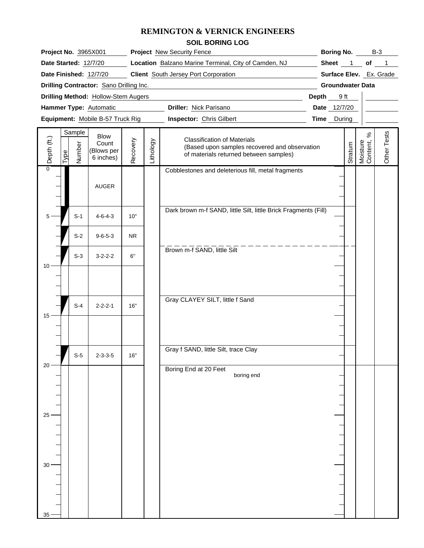# **REMINGTON & VERNICK ENGINEERS**

|             |                                                                       |                                                 |                                 |              | REMINGTON & VERNICK ENGINEERS                                                                                                 |                         |                   |         |                            |                             |
|-------------|-----------------------------------------------------------------------|-------------------------------------------------|---------------------------------|--------------|-------------------------------------------------------------------------------------------------------------------------------|-------------------------|-------------------|---------|----------------------------|-----------------------------|
|             |                                                                       |                                                 |                                 |              | <b>SOIL BORING LOG</b>                                                                                                        |                         |                   |         |                            |                             |
|             |                                                                       | <b>Project No. 3965X001</b>                     |                                 |              | <b>Project</b> New Security Fence                                                                                             |                         | <b>Boring No.</b> |         |                            | $B-3$                       |
|             | Date Started: 12/7/20                                                 |                                                 |                                 |              | Location Balzano Marine Terminal, City of Camden, NJ                                                                          |                         | Sheet 1           |         |                            | of 1                        |
|             | <b>Client</b> South Jersey Port Corporation<br>Date Finished: 12/7/20 |                                                 |                                 |              |                                                                                                                               |                         |                   |         | Surface Elev. Ex. Grade    |                             |
|             |                                                                       | Drilling Contractor: Sano Drilling Inc.         |                                 |              |                                                                                                                               | <b>Groundwater Data</b> |                   |         |                            |                             |
|             |                                                                       | Drilling Method: Hollow-Stem Augers             | Depth 9 ft                      |              |                                                                                                                               |                         |                   |         |                            |                             |
|             |                                                                       | Hammer Type: Automatic                          |                                 | Date 12/7/20 |                                                                                                                               |                         |                   |         |                            |                             |
|             |                                                                       | Equipment: Mobile B-57 Truck Rig                | <b>Inspector:</b> Chris Gilbert |              | <b>Time</b> During                                                                                                            |                         |                   |         |                            |                             |
| Depth (ft.) | Sample<br>Number<br>Type                                              | <b>Blow</b><br>Count<br>(Blows per<br>6 inches) | Recovery                        | Lithology    | <b>Classification of Materials</b><br>(Based upon samples recovered and observation<br>of materials returned between samples) |                         |                   | Stratum | వ్<br>Moisture<br>Content, | Tests<br>Other <sup>1</sup> |
|             |                                                                       | <b>AUGER</b>                                    |                                 |              | Cobblestones and deleterious fill, metal fragments                                                                            |                         |                   |         |                            |                             |
|             | $S-1$                                                                 | $4 - 6 - 4 - 3$                                 | 10"                             |              | Dark brown m-f SAND, little Silt, little Brick Fragments (Fill)                                                               |                         |                   |         |                            |                             |
|             | $S-2$                                                                 | $9 - 6 - 5 - 3$                                 | <b>NR</b>                       |              |                                                                                                                               |                         |                   |         |                            |                             |
|             | $S-3$                                                                 | $3 - 2 - 2 - 2$                                 | 6"                              |              | Brown m-f SAND, little Silt                                                                                                   |                         |                   |         |                            |                             |
|             |                                                                       |                                                 |                                 |              |                                                                                                                               |                         |                   |         |                            |                             |
|             | $S-4$                                                                 | $2 - 2 - 2 - 1$                                 | 16"                             |              | Gray CLAYEY SILT, little f Sand                                                                                               |                         |                   |         |                            |                             |

|        |       | AUGER           |                     |                                                                 |  |
|--------|-------|-----------------|---------------------|-----------------------------------------------------------------|--|
|        |       |                 |                     |                                                                 |  |
|        |       |                 |                     |                                                                 |  |
| $5 -$  | $S-1$ | $4 - 6 - 4 - 3$ | $10"$               | Dark brown m-f SAND, little Silt, little Brick Fragments (Fill) |  |
|        |       |                 |                     |                                                                 |  |
|        |       |                 |                     |                                                                 |  |
|        | $S-2$ | $9 - 6 - 5 - 3$ | ${\sf NR}$          |                                                                 |  |
|        |       |                 |                     | Brown m-f SAND, little Silt                                     |  |
|        | $S-3$ | $3 - 2 - 2 - 2$ | $6\rlap{.}^{\circ}$ |                                                                 |  |
| $10 -$ |       |                 |                     |                                                                 |  |
|        |       |                 |                     |                                                                 |  |
|        |       |                 |                     |                                                                 |  |
|        |       |                 |                     |                                                                 |  |
|        | $S-4$ | $2 - 2 - 2 - 1$ | $16"$               | Gray CLAYEY SILT, little f Sand                                 |  |
| $15 -$ |       |                 |                     |                                                                 |  |
|        |       |                 |                     |                                                                 |  |
|        |       |                 |                     |                                                                 |  |
|        |       |                 |                     |                                                                 |  |
|        |       |                 |                     | Gray f SAND, little Silt, trace Clay                            |  |
|        | $S-5$ | $2 - 3 - 3 - 5$ | $16"$               |                                                                 |  |
| $20 -$ |       |                 |                     | Boring End at 20 Feet                                           |  |
|        |       |                 |                     | boring end                                                      |  |
|        |       |                 |                     |                                                                 |  |
|        |       |                 |                     |                                                                 |  |
|        |       |                 |                     |                                                                 |  |
| $25 -$ |       |                 |                     |                                                                 |  |
|        |       |                 |                     |                                                                 |  |
|        |       |                 |                     |                                                                 |  |
|        |       |                 |                     |                                                                 |  |
|        |       |                 |                     |                                                                 |  |
|        |       |                 |                     |                                                                 |  |
| $30 -$ |       |                 |                     |                                                                 |  |
|        |       |                 |                     |                                                                 |  |
|        |       |                 |                     |                                                                 |  |
|        |       |                 |                     |                                                                 |  |
|        |       |                 |                     |                                                                 |  |
| $35 -$ |       |                 |                     |                                                                 |  |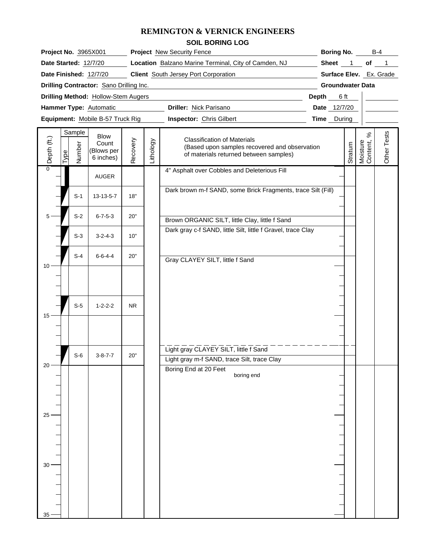|                 |      |                  |                                          |                                                                                                                       |           | <b>REMINGTON &amp; VERNICK ENGINEERS</b>                                                                                      |                   |                         |                              |             |
|-----------------|------|------------------|------------------------------------------|-----------------------------------------------------------------------------------------------------------------------|-----------|-------------------------------------------------------------------------------------------------------------------------------|-------------------|-------------------------|------------------------------|-------------|
|                 |      |                  |                                          |                                                                                                                       |           | <b>SOIL BORING LOG</b>                                                                                                        |                   |                         |                              |             |
|                 |      |                  | Project No. 3965X001                     |                                                                                                                       |           | <b>Project</b> New Security Fence                                                                                             | <b>Boring No.</b> |                         | $B-4$                        |             |
|                 |      |                  | Date Started: 12/7/20                    |                                                                                                                       |           | Location Balzano Marine Terminal, City of Camden, NJ                                                                          |                   | Sheet 1                 |                              | of 1        |
|                 |      |                  | Date Finished: 12/7/20                   |                                                                                                                       |           | <b>Client</b> South Jersey Port Corporation                                                                                   |                   | Surface Elev. Ex. Grade |                              |             |
|                 |      |                  | Drilling Contractor: Sano Drilling Inc.  | <u> 1989 - Johann John Stein, markin film yn y brening yn y brening yn y brening yn y brening yn y brening yn y b</u> |           | <b>Groundwater Data</b>                                                                                                       |                   |                         |                              |             |
|                 |      |                  | Drilling Method: Hollow-Stem Augers      | Depth                                                                                                                 | 6 ft      |                                                                                                                               |                   |                         |                              |             |
|                 |      |                  | Hammer Type: Automatic                   | Driller: Nick Parisano                                                                                                |           | Date 12/7/20                                                                                                                  |                   |                         |                              |             |
|                 |      |                  | Equipment: Mobile B-57 Truck Rig         | <b>Inspector: Chris Gilbert</b>                                                                                       |           | <b>Time</b> During                                                                                                            |                   |                         |                              |             |
| Depth (ft.)     | Type | Sample<br>Number | Blow<br>Count<br>(Blows per<br>6 inches) | Recovery                                                                                                              | Lithology | <b>Classification of Materials</b><br>(Based upon samples recovered and observation<br>of materials returned between samples) |                   | Stratum                 | $\%$<br>Moisture<br>Content, | Other Tests |
| 0               |      |                  | AUGER                                    |                                                                                                                       |           | 4" Asphalt over Cobbles and Deleterious Fill                                                                                  |                   |                         |                              |             |
|                 |      | $S-1$            | 13-13-5-7                                | 18"                                                                                                                   |           | Dark brown m-f SAND, some Brick Fragments, trace Silt (Fill)                                                                  |                   |                         |                              |             |
|                 |      | $S-2$            | $6 - 7 - 5 - 3$                          | 20"                                                                                                                   |           | Brown ORGANIC SILT, little Clay, little f Sand                                                                                |                   |                         |                              |             |
|                 |      | $S-3$            | $3 - 2 - 4 - 3$                          | 10"                                                                                                                   |           | Dark gray c-f SAND, little Silt, little f Gravel, trace Clay                                                                  |                   |                         |                              |             |
| 10              |      | $S-4$            | $6 - 6 - 4 - 4$                          | 20"                                                                                                                   |           | Gray CLAYEY SILT, little f Sand                                                                                               |                   |                         |                              |             |
|                 |      |                  |                                          |                                                                                                                       |           |                                                                                                                               |                   |                         |                              |             |
| 15              |      | $S-5$            | $1 - 2 - 2 - 2$                          | NR.                                                                                                                   |           |                                                                                                                               |                   |                         |                              |             |
|                 |      |                  |                                          |                                                                                                                       |           |                                                                                                                               |                   |                         |                              |             |
|                 |      | $S-6$            | $3 - 8 - 7 - 7$                          | 20"                                                                                                                   |           | Light gray CLAYEY SILT, little f Sand<br>Light gray m-f SAND, trace Silt, trace Clay                                          |                   |                         |                              |             |
| 20              |      |                  |                                          |                                                                                                                       |           | Boring End at 20 Feet<br>boring end                                                                                           |                   |                         |                              |             |
|                 |      |                  |                                          |                                                                                                                       |           |                                                                                                                               |                   |                         |                              |             |
| 25 <sup>5</sup> |      |                  |                                          |                                                                                                                       |           |                                                                                                                               |                   |                         |                              |             |

 $\begin{tabular}{c} \multicolumn{1}{c} {\textbf{1}} & \multicolumn{1}{c} {\textbf{1}} & \multicolumn{1}{c} {\textbf{1}} \\ \multicolumn{1}{c} {\textbf{1}} & \multicolumn{1}{c} {\textbf{1}} & \multicolumn{1}{c} {\textbf{1}} \\ \multicolumn{1}{c} {\textbf{1}} & \multicolumn{1}{c} {\textbf{1}} & \multicolumn{1}{c} {\textbf{1}} \\ \multicolumn{1}{c} {\textbf{1}} & \multicolumn{1}{c} {\textbf{1}} & \multicolumn{1}{c} {\textbf{1}} \\ \multicolumn{1}{c} {\textbf{1}} & \multicolumn$ 

30

 $35 - |$   $|$   $|$   $|$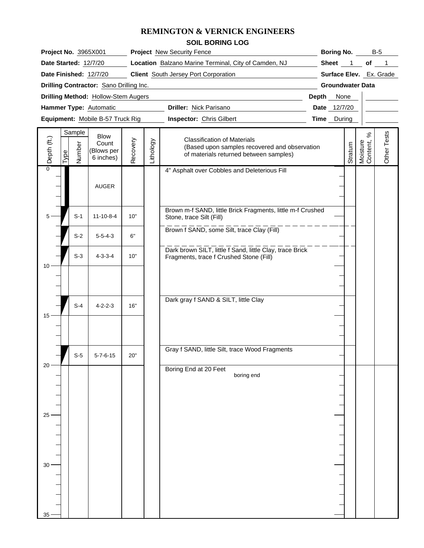# **REMINGTON & VERNICK ENGINEERS**

|                                                             |                                                 |                                                      |           | REMINGTON & VERNICK ENGINEERS                                                                                                 |             |                   |                            |                    |  |  |  |
|-------------------------------------------------------------|-------------------------------------------------|------------------------------------------------------|-----------|-------------------------------------------------------------------------------------------------------------------------------|-------------|-------------------|----------------------------|--------------------|--|--|--|
|                                                             |                                                 |                                                      |           | <b>SOIL BORING LOG</b>                                                                                                        |             |                   |                            |                    |  |  |  |
| Project No. 3965X001                                        |                                                 |                                                      |           | <b>Project</b> New Security Fence                                                                                             |             | <b>Boring No.</b> |                            | $B-5$              |  |  |  |
| Date Started: 12/7/20                                       |                                                 | Location Balzano Marine Terminal, City of Camden, NJ |           | Sheet 1                                                                                                                       | of          |                   |                            |                    |  |  |  |
| Date Finished: 12/7/20                                      |                                                 | <b>Client</b> South Jersey Port Corporation          |           | Surface Elev. Ex. Grade                                                                                                       |             |                   |                            |                    |  |  |  |
| Drilling Contractor: Sano Drilling Inc.                     |                                                 | <b>Groundwater Data</b>                              |           |                                                                                                                               |             |                   |                            |                    |  |  |  |
| Drilling Method: Hollow-Stem Augers                         |                                                 | Depth None                                           |           |                                                                                                                               |             |                   |                            |                    |  |  |  |
| Hammer Type: Automatic                                      |                                                 | Date 12/7/20                                         |           |                                                                                                                               |             |                   |                            |                    |  |  |  |
| Equipment: Mobile B-57 Truck Rig                            |                                                 |                                                      |           | <b>Inspector:</b> Chris Gilbert                                                                                               | Time During |                   |                            |                    |  |  |  |
| Sample<br>Depth (ft.)<br>Number<br>$\overline{\text{Type}}$ | <b>Blow</b><br>Count<br>(Blows per<br>6 inches) | covery<br>Řĕ                                         | Lithology | <b>Classification of Materials</b><br>(Based upon samples recovered and observation<br>of materials returned between samples) |             | Stratum           | వి<br>Moisture<br>Content, | sts<br>قم<br>Other |  |  |  |
|                                                             | <b>AUGER</b>                                    |                                                      |           | 4" Asphalt over Cobbles and Deleterious Fill                                                                                  |             |                   |                            |                    |  |  |  |
| $S-1$                                                       | $11 - 10 - 8 - 4$                               | 10"                                                  |           | Brown m-f SAND, little Brick Fragments, little m-f Crushed<br>Stone, trace Silt (Fill)                                        |             |                   |                            |                    |  |  |  |
| $S-2$                                                       | $5 - 5 - 4 - 3$                                 | 6"                                                   |           | Brown f SAND, some Silt, trace Clay (Fill)                                                                                    |             |                   |                            |                    |  |  |  |
| $S-3$                                                       | $4 - 3 - 3 - 4$                                 | 10"                                                  |           | Dark brown SILT, little f Sand, little Clay, trace Brick<br>Fragments, trace f Crushed Stone (Fill)                           |             |                   |                            |                    |  |  |  |
|                                                             |                                                 |                                                      |           |                                                                                                                               |             |                   |                            |                    |  |  |  |
|                                                             |                                                 |                                                      |           | Dark gray f SAND & SILT, little Clay                                                                                          |             |                   |                            |                    |  |  |  |

| $10 -$          | $S-3$ | $4 - 3 - 3 - 4$  | $10"$ |                       | Dark brown SILT, little f Sand, little Clay, trace Brick<br>Fragments, trace f Crushed Stone (Fill) |  |
|-----------------|-------|------------------|-------|-----------------------|-----------------------------------------------------------------------------------------------------|--|
|                 |       |                  |       |                       |                                                                                                     |  |
|                 | $S-4$ | $4 - 2 - 2 - 3$  | 16"   |                       | Dark gray f SAND & SILT, little Clay                                                                |  |
| $15 -$          |       |                  |       |                       |                                                                                                     |  |
|                 |       |                  |       |                       |                                                                                                     |  |
| $20 -$          | $S-5$ | $5 - 7 - 6 - 15$ | $20"$ |                       | Gray f SAND, little Silt, trace Wood Fragments                                                      |  |
|                 |       |                  |       | Boring End at 20 Feet | boring end                                                                                          |  |
|                 |       |                  |       |                       |                                                                                                     |  |
| $25 -$          |       |                  |       |                       |                                                                                                     |  |
|                 |       |                  |       |                       |                                                                                                     |  |
| $30 -$          |       |                  |       |                       |                                                                                                     |  |
|                 |       |                  |       |                       |                                                                                                     |  |
|                 |       |                  |       |                       |                                                                                                     |  |
| 35 <sub>3</sub> |       |                  |       |                       |                                                                                                     |  |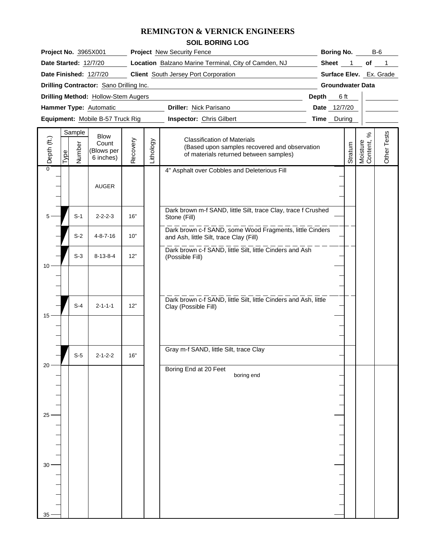# **REMINGTON & VERNICK ENGINEERS**

| <b>SOIL BORING LOG</b> |
|------------------------|
|------------------------|

| <b>Project No. 3965X001</b>                                     | <b>Project</b> New Security Fence                                                         | <b>Boring No.</b><br><b>B-6</b> |
|-----------------------------------------------------------------|-------------------------------------------------------------------------------------------|---------------------------------|
| Date Started: 12/7/20                                           | <b>Location</b> Balzano Marine Terminal, City of Camden, NJ                               | <b>Sheet</b><br>οt              |
| Date Finished: 12/7/20                                          | <b>Surface Elev.</b> Ex. Grade                                                            |                                 |
| <b>Drilling Contractor: Sano Drilling Inc.</b>                  |                                                                                           | <b>Groundwater Data</b>         |
| <b>Drilling Method: Hollow-Stem Augers</b>                      |                                                                                           | 6 ft<br>Depth                   |
| <b>Hammer Type: Automatic</b>                                   | <b>Driller: Nick Parisano</b>                                                             | 12/7/20<br><b>Date</b>          |
| Equipment: Mobile B-57 Truck Rig                                | <b>Inspector: Chris Gilbert</b>                                                           | <b>Time</b> During              |
| Sample<br><b>Blow</b><br>$\widehat{\mathfrak{t}}$<br>Count<br>Ф | <b>Classification of Materials</b><br>χĐ<br>(Based upon samples recovered and observation | sts<br>%<br>Φ<br>۲.<br>ε        |

| Depth (ft.)     | <u>Iype</u> | Sample<br>Number | Blow<br>Count<br>(Blows per<br>6 inches) | Recovery | Lithology | <b>Classification of Materials</b><br>(Based upon samples recovered and observation<br>of materials returned between samples) | Stratum | $\%$<br>Moisture<br>Content, | Other Tests |  |
|-----------------|-------------|------------------|------------------------------------------|----------|-----------|-------------------------------------------------------------------------------------------------------------------------------|---------|------------------------------|-------------|--|
| $\overline{0}$  |             |                  | AUGER                                    |          |           | 4" Asphalt over Cobbles and Deleterious Fill                                                                                  |         |                              |             |  |
| $5 \cdot$       |             | $S-1$            | $2 - 2 - 2 - 3$                          | 16"      |           | Dark brown m-f SAND, little Silt, trace Clay, trace f Crushed<br>Stone (Fill)                                                 |         |                              |             |  |
|                 |             | $S-2$            | $4 - 8 - 7 - 16$                         | 10"      |           | Dark brown c-f SAND, some Wood Fragments, little Cinders<br>and Ash, little Silt, trace Clay (Fill)                           |         |                              |             |  |
| 10 <sup>1</sup> |             | $S-3$            | $8 - 13 - 8 - 4$                         | 12"      |           | Dark brown c-f SAND, little Silt, little Cinders and Ash<br>(Possible Fill)                                                   |         |                              |             |  |
|                 |             |                  |                                          |          |           |                                                                                                                               |         |                              |             |  |
| $15 -$          |             | $S-4$            | $2 - 1 - 1 - 1$                          | 12"      |           | Dark brown c-f SAND, little Silt, little Cinders and Ash, little<br>Clay (Possible Fill)                                      |         |                              |             |  |
|                 |             |                  |                                          |          |           |                                                                                                                               |         |                              |             |  |
|                 |             | $S-5$            | $2 - 1 - 2 - 2$                          | 16"      |           | Gray m-f SAND, little Silt, trace Clay                                                                                        |         |                              |             |  |
| $20 -$          |             |                  |                                          |          |           | Boring End at 20 Feet<br>boring end                                                                                           |         |                              |             |  |
|                 |             |                  |                                          |          |           |                                                                                                                               |         |                              |             |  |
| $25 -$          |             |                  |                                          |          |           |                                                                                                                               |         |                              |             |  |
|                 |             |                  |                                          |          |           |                                                                                                                               |         |                              |             |  |
| $30 -$          |             |                  |                                          |          |           |                                                                                                                               |         |                              |             |  |
|                 |             |                  |                                          |          |           |                                                                                                                               |         |                              |             |  |
| 35              |             |                  |                                          |          |           |                                                                                                                               |         |                              |             |  |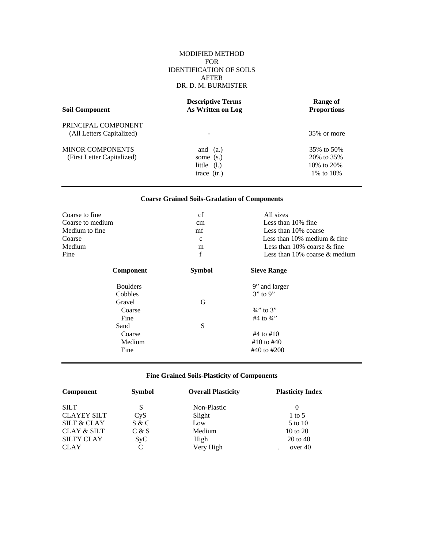### MODIFIED METHOD FOR IDENTIFICATION OF SOILS AFTER DR. D. M. BURMISTER

| <b>Soil Component</b>                                 | <b>Descriptive Terms</b><br>As Written on Log             | Range of<br><b>Proportions</b>                            |
|-------------------------------------------------------|-----------------------------------------------------------|-----------------------------------------------------------|
| PRINCIPAL COMPONENT<br>(All Letters Capitalized)      |                                                           | 35% or more                                               |
| <b>MINOR COMPONENTS</b><br>(First Letter Capitalized) | and $(a.)$<br>some (s.)<br>little $(l.)$<br>trace $(tr.)$ | 35% to 50%<br>20\% to 35\%<br>10\% to 20\%<br>1\% to 10\% |

# **Coarse Grained Soils-Gradation of Components**

| Coarse to fine   | cf            | All sizes                           |
|------------------|---------------|-------------------------------------|
| Coarse to medium | cm            | Less than 10% fine                  |
| Medium to fine   | mf            | Less than 10% coarse                |
| Coarse           | $\mathbf{c}$  | Less than $10\%$ medium $\&$ fine   |
| Medium           | m             | Less than $10\%$ coarse $&$ fine    |
| Fine             | $\mathbf f$   | Less than $10\%$ coarse $\&$ medium |
| Component        | <b>Symbol</b> | <b>Sieve Range</b>                  |
| <b>Boulders</b>  |               | 9" and larger                       |
| Cobbles          |               | $3"$ to 9"                          |
| Gravel           | G             |                                     |
| Coarse           |               | $\frac{3}{4}$ to 3"                 |
| Fine             |               | #4 to $\frac{3}{4}$ "               |
| Sand             | S             |                                     |
| Coarse           |               | #4 to #10                           |
| Medium           |               | #10 to #40                          |
| Fine             |               | #40 to #200                         |

# **Fine Grained Soils-Plasticity of Components**

| Component              | <b>Symbol</b>    | <b>Overall Plasticity</b> | <b>Plasticity Index</b> |
|------------------------|------------------|---------------------------|-------------------------|
| <b>SILT</b>            | S                | Non-Plastic               | $\theta$                |
| <b>CLAYEY SILT</b>     | C <sub>Y</sub> S | Slight                    | $1 \text{ to } 5$       |
| <b>SILT &amp; CLAY</b> | S & C            | Low                       | 5 to 10                 |
| <b>CLAY &amp; SILT</b> | C & S            | Medium                    | 10 to 20                |
| <b>SILTY CLAY</b>      | Syc              | High                      | 20 to 40                |
| <b>CLAY</b>            | C                | Very High                 | over 40                 |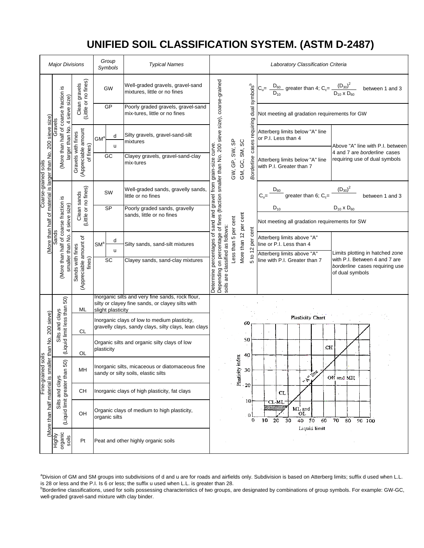# **UNIFIED SOIL CLASSIFICATION SYSTEM. (ASTM D-2487)**

|                                                                         | <b>Major Divisions</b>                                             |                                                        | Group<br>Symbols          | <b>Typical Names</b>                                                                                 |                                                                                                                                                                      |                                                |                      | <b>Laboratory Classification Criteria</b>                                                                                                                                            |
|-------------------------------------------------------------------------|--------------------------------------------------------------------|--------------------------------------------------------|---------------------------|------------------------------------------------------------------------------------------------------|----------------------------------------------------------------------------------------------------------------------------------------------------------------------|------------------------------------------------|----------------------|--------------------------------------------------------------------------------------------------------------------------------------------------------------------------------------|
|                                                                         |                                                                    | Clean gravels<br>(Little or no fines)                  | <b>GW</b>                 | Well-graded gravels, gravel-sand<br>mixtures, little or no fines                                     |                                                                                                                                                                      |                                                | symbols <sup>b</sup> | $C_{u} = \frac{D_{60}}{D_{10}}$ greater than 4; $C_{c} = \frac{(D_{30})^2}{D_{10} \times D_{60}}$<br>between 1 and 3                                                                 |
|                                                                         | 4 sieve size)                                                      |                                                        | GP                        | Poorly graded gravels, gravel-sand<br>mix-tures, little or no fines                                  |                                                                                                                                                                      |                                                | dual                 | Not meeting all gradation requirements for GW                                                                                                                                        |
|                                                                         | (More than half of coarse fraction is<br>Gravels<br>arger than No. |                                                        | d<br>GM <sup>a</sup><br>u | Silty gravels, gravel-sand-silt<br>mixtures                                                          |                                                                                                                                                                      |                                                | cases requiring      | Atterberg limits below "A" line<br>or P.I. Less than 4<br>Above "A" line with P.I. between                                                                                           |
| (More than half of material is larger than No. 200 sieve size)<br>soils |                                                                    | (Appreciable amount<br>Gravels with fines<br>of fines) | GC                        | Clayey gravels, gravel-sand-clay<br>mix-tures                                                        | grain-size curve                                                                                                                                                     | GW, GP, SW, SP<br>GM, GC, SM, SC<br>Borderline |                      | 4 and 7 are borderline cases<br>requiring use of dual symbols<br>Atterberg limits below "A" line<br>with P.I. Greater than 7                                                         |
| Coarse-grained                                                          |                                                                    | Clean sands<br>(Little or no fines)                    | SW                        | Well-graded sands, gravelly sands,<br>little or no fines                                             |                                                                                                                                                                      |                                                |                      | $\frac{D_{60}}{D_{60}}$ greater than 6; C <sub>c</sub> =<br>between 1 and 3                                                                                                          |
|                                                                         | 4 sieve size)                                                      |                                                        | <b>SP</b>                 | Poorly graded sands, gravelly<br>sands, little or no fines                                           |                                                                                                                                                                      |                                                |                      | $D_{10}$ x $D_{60}$<br>$\mathsf{D}_{\mathsf{10}}$                                                                                                                                    |
|                                                                         |                                                                    |                                                        |                           |                                                                                                      |                                                                                                                                                                      |                                                |                      | Not meeting all gradation requirements for SW                                                                                                                                        |
|                                                                         |                                                                    |                                                        | d<br>SM <sup>a</sup><br>u | Silty sands, sand-silt mixtures                                                                      | as follows:                                                                                                                                                          | More than 12 per cent<br>Less than 5 per cent  | per cent             | Atterberg limits above "A"<br>line or P.I. Less than 4                                                                                                                               |
|                                                                         | (More than half of coarse fraction is<br>smaller than No.          | (Appreciable amount of<br>Sands with fines<br>fines)   | SC                        | Clayey sands, sand-clay mixtures                                                                     | Depending on percentage of fines (fraction smaller than No. 200 sieve size), coarse-grained<br>Determine percentages of sand and gravel from<br>soils are classified |                                                | 5 to 12              | Atterberg limits above "A"<br>Limits plotting in hatched zone<br>with P.I. Between 4 and 7 are<br>line with P.I. Greater than 7<br>borderline cases requiring use<br>of dual symbols |
|                                                                         |                                                                    | ML                                                     | slight plasticity         | Inorganic silts and very fine sands, rock flour,<br>silty or clayey fine sands, or clayey silts with |                                                                                                                                                                      |                                                |                      |                                                                                                                                                                                      |
| ller than No. 200 sieve)                                                | (Liquid limit less than 50)<br>Silts and clays                     | СL                                                     |                           | Inorganic clays of low to medium plasticity,<br>gravelly clays, sandy clays, silty clays, lean clays |                                                                                                                                                                      |                                                | 60                   | Plasticity Chart                                                                                                                                                                     |
|                                                                         |                                                                    | OL                                                     | plasticity                | Organic silts and organic silty clays of low                                                         |                                                                                                                                                                      |                                                | 50<br>40             | CH                                                                                                                                                                                   |
| slios<br>Fine-grained                                                   | $\widehat{Q}$<br>ری                                                | MН                                                     |                           | Inorganic silts, micaceous or diatomaceous fine<br>sandy or silty soils, elastic silts               |                                                                                                                                                                      | mdex<br>Plasticity                             | 30                   | <b>C. Private</b><br>OH and MH                                                                                                                                                       |
|                                                                         | and clays                                                          | CН                                                     |                           | Inorganic clays of high plasticity, fat clays                                                        |                                                                                                                                                                      |                                                | $-20$                | <b>CL</b>                                                                                                                                                                            |
| (More than half material is sma                                         | (Liquid limit greater than<br>Silts:                               | OH                                                     | organic silts             | Organic clays of medium to high plasticity,                                                          |                                                                                                                                                                      |                                                | 10<br>0<br>0         | CL-ML<br>ML and<br>OL<br>40 50<br>60<br>10<br>20<br>30<br>70<br>80<br>90 100<br>Liquid limit                                                                                         |
|                                                                         | organic<br>soils<br><b>Highly</b>                                  | Pt                                                     |                           | Peat and other highly organic soils                                                                  |                                                                                                                                                                      |                                                |                      |                                                                                                                                                                                      |

aDivision of GM and SM groups into subdivisions of d and u are for roads and airfields only. Subdivision is based on Atterberg limits; suffix d used when L.L. is 28 or less and the P.I. Is 6 or less; the suffix u used when L.L. is greater than 28.

**Borderline classifications, used for soils possessing characteristics of two groups, are designated by combinations of group symbols. For example: GW-GC,** well-graded gravel-sand mixture with clay binder.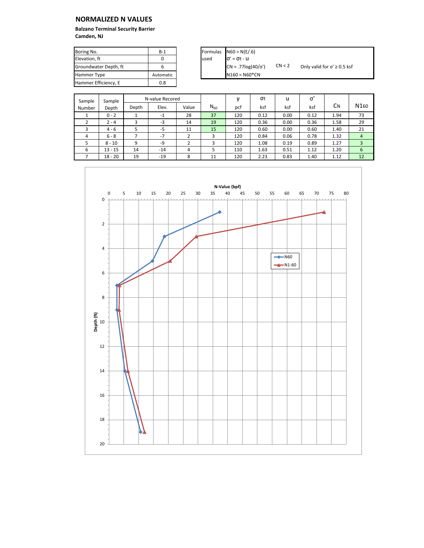| Boring No.            | $B-1$     | Formulas | $N60 = N(E/.6)$           |        |                                       |
|-----------------------|-----------|----------|---------------------------|--------|---------------------------------------|
| Elevation, ft         |           | used     | $\sigma' = \sigma t - u$  |        |                                       |
| Groundwater Depth, ft |           |          | $CN = .77log(40/\sigma')$ | CN < 2 | Only valid for $\sigma' \geq 0.5$ ksf |
| Hammer Type           | Automatic |          | $N160 = N60*CN$           |        |                                       |
| Hammer Efficiency, E  | 0.8       |          |                           |        |                                       |

| Sample | Sample    |       | N-value Recored |       |          |     | σt   | u    | σ    |      |                  |
|--------|-----------|-------|-----------------|-------|----------|-----|------|------|------|------|------------------|
| Number | Depth     | Depth | Elev.           | Value | $N_{60}$ | pcf | ksf  | ksf  | ksf  | См   | N <sub>160</sub> |
|        | $0 - 2$   |       | $-1$            | 28    | 37       | 120 | 0.12 | 0.00 | 0.12 | 1.94 | 73               |
|        | $2 - 4$   | 3     | -3              | 14    | 19       | 120 | 0.36 | 0.00 | 0.36 | 1.58 | 29               |
|        | $4 - 6$   |       | -5              | 11    | 15       | 120 | 0.60 | 0.00 | 0.60 | 1.40 | 21               |
| 4      | $6 - 8$   |       | $-7$            |       |          | 120 | 0.84 | 0.06 | 0.78 | 1.32 | $\overline{4}$   |
|        | $8 - 10$  | 9     | -9              |       |          | 120 | 1.08 | 0.19 | 0.89 | 1.27 | 3                |
| 6      | $13 - 15$ | 14    | $-14$           | 4     |          | 110 | 1.63 | 0.51 | 1.12 | 1.20 | 6                |
|        | $18 - 20$ | 19    | $-19$           | 8     | 11       | 120 | 2.23 | 0.83 | 1.40 | 1.12 | 12               |

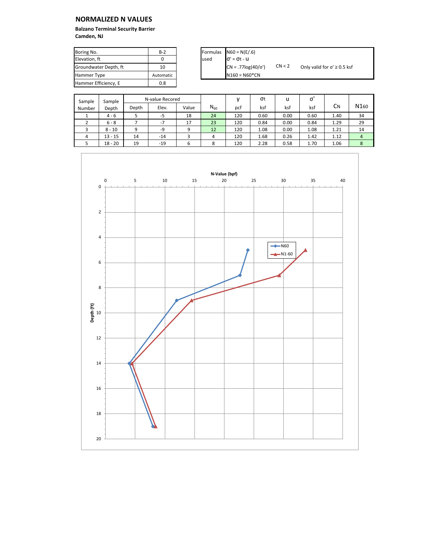| Boring No.            | $B-2$     |       | Formulas $N60 = N(E/.6)$  |        |                                       |
|-----------------------|-----------|-------|---------------------------|--------|---------------------------------------|
| Elevation. ft         |           | lused | $\sigma' = \sigma t - u$  |        |                                       |
| Groundwater Depth, ft | 10        |       | $CN = .77log(40/\sigma')$ | CN < 2 | Only valid for $\sigma' \geq 0.5$ ksf |
| Hammer Type           | Automatic |       | $N160 = N60*CN$           |        |                                       |
| Hammer Efficiency, E  | 0.8       |       |                           |        |                                       |

| Sample   | Sample    |       | N-value Recored |       |          |     | σt   | u    | σ    |      |                  |
|----------|-----------|-------|-----------------|-------|----------|-----|------|------|------|------|------------------|
| Number   | Depth     | Depth | Elev.           | Value | $N_{60}$ | pcf | ksf  | ksf  | ksf  | См   | N <sub>160</sub> |
|          | $4 - 6$   |       | -5              | 18    | 24       | 120 | 0.60 | 0.00 | 0.60 | 1.40 | 34               |
|          | $6 - 8$   |       | $-7$            | 17    | 23       | 120 | 0.84 | 0.00 | 0.84 | 1.29 | 29               |
|          | $8 - 10$  | 9     | -9              | 9     | 12       | 120 | 1.08 | 0.00 | 1.08 | 1.21 | 14               |
| $\Delta$ | $13 - 15$ | 14    | $-14$           |       | 4        | 120 | 1.68 | 0.26 | 1.42 | 1.12 | $\overline{4}$   |
|          | $18 - 20$ | 19    | $-19$           | 6     |          | 120 | 2.28 | 0.58 | 1.70 | 1.06 | 8                |

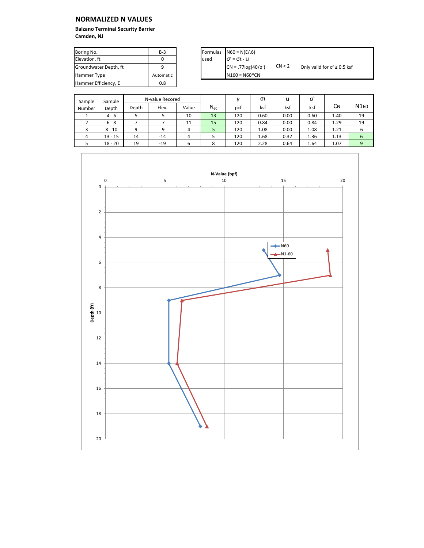| Boring No.            | $B-3$     |      | Formulas $N60 = N(E/.6)$  |        |                                       |
|-----------------------|-----------|------|---------------------------|--------|---------------------------------------|
| Elevation. ft         |           | used | $\sigma' = \sigma t - u$  |        |                                       |
| Groundwater Depth, ft |           |      | $CN = .77log(40/\sigma')$ | CN < 2 | Only valid for $\sigma' \geq 0.5$ ksf |
| Hammer Type           | Automatic |      | $N160 = N60*CN$           |        |                                       |
| Hammer Efficiency, E  | 0.8       |      |                           |        |                                       |

| Sample | Sample    |       | N-value Recored |       |          |     | σt   | u    | σ    |      |                  |
|--------|-----------|-------|-----------------|-------|----------|-----|------|------|------|------|------------------|
| Number | Depth     | Depth | Elev.           | Value | $N_{60}$ | pcf | ksf  | ksf  | ksf  | См   | N <sub>160</sub> |
|        | $4 - 6$   |       | -5              | 10    | 13       | 120 | 0.60 | 0.00 | 0.60 | 1.40 | 19               |
|        | $6 - 8$   |       | $-7$            | 11    | 15       | 120 | 0.84 | 0.00 | 0.84 | 1.29 | 19               |
|        | $8 - 10$  | 9     | -9              | 4     |          | 120 | 1.08 | 0.00 | 1.08 | 1.21 | 6                |
| Δ      | $13 - 15$ | 14    | $-14$           | 4     |          | 120 | 1.68 | 0.32 | 1.36 | 1.13 | 6                |
|        | $18 - 20$ | 19    | $-19$           | 6     |          | 120 | 2.28 | 0.64 | 1.64 | 1.07 | 9                |

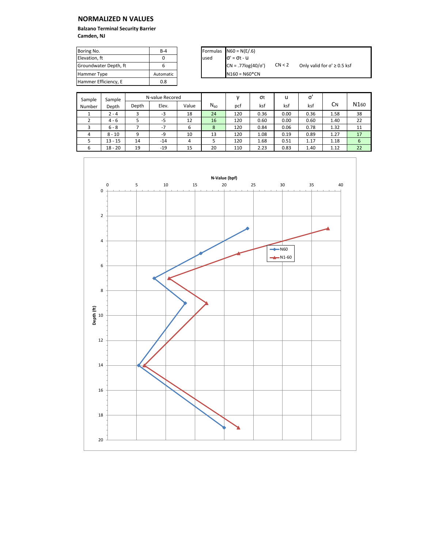| Boring No.            | $B-4$     |      | Formulas $N60 = N(E/.6)$  |        |                                       |
|-----------------------|-----------|------|---------------------------|--------|---------------------------------------|
| Elevation. ft         |           | used | $\sigma' = \sigma t - u$  |        |                                       |
| Groundwater Depth, ft |           |      | $CN = .77log(40/\sigma')$ | CN < 2 | Only valid for $\sigma' \geq 0.5$ ksf |
| <b>Hammer Type</b>    | Automatic |      | $N160 = N60^*CN$          |        |                                       |
| Hammer Efficiency, E  | 0.8       |      |                           |        |                                       |

| Sample | Sample    |       | N-value Recored |       |          |     | σt   | u    | σ    |      |                  |
|--------|-----------|-------|-----------------|-------|----------|-----|------|------|------|------|------------------|
| Number | Depth     | Depth | Elev.           | Value | $N_{60}$ | pcf | ksf  | ksf  | ksf  | CΝ   | N <sub>160</sub> |
|        | $2 - 4$   | 3     | -3              | 18    | 24       | 120 | 0.36 | 0.00 | 0.36 | 1.58 | 38               |
|        | $4 - 6$   |       | -5              | 12    | 16       | 120 | 0.60 | 0.00 | 0.60 | 1.40 | 22               |
|        | $6 - 8$   |       | $-7$            | 6     | 8        | 120 | 0.84 | 0.06 | 0.78 | 1.32 | 11               |
| 4      | $8 - 10$  | 9     | -9              | 10    | 13       | 120 | 1.08 | 0.19 | 0.89 | 1.27 | 17               |
|        | $13 - 15$ | 14    | $-14$           | 4     |          | 120 | 1.68 | 0.51 | 1.17 | 1.18 | 6                |
| 6      | $18 - 20$ | 19    | $-19$           | 15    | 20       | 110 | 2.23 | 0.83 | 1.40 | 1.12 | 22               |

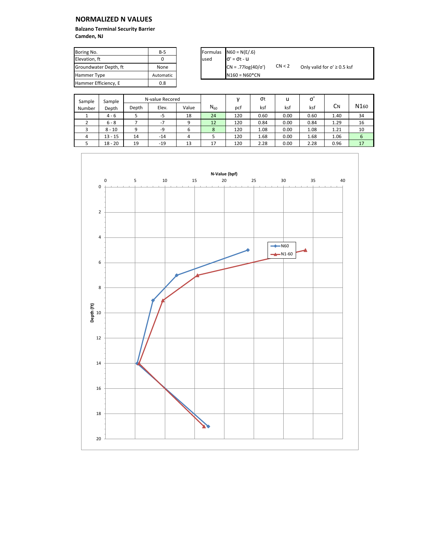| Boring No.            | $B-5$     | Formulas | $N60 = N(E/.6)$           |        |                                       |
|-----------------------|-----------|----------|---------------------------|--------|---------------------------------------|
| Elevation. ft         |           | used     | $\sigma' = \sigma t - U$  |        |                                       |
| Groundwater Depth, ft | None      |          | $CN = .77log(40/\sigma')$ | CN < 2 | Only valid for $\sigma' \geq 0.5$ ksf |
| Hammer Type           | Automatic |          | $N160 = N60^*CN$          |        |                                       |
| Hammer Efficiency, E  | 0.8       |          |                           |        |                                       |

| Sample | Sample    | N-value Recored |       |       |          |     | σt   | u    | σ    |      |                  |
|--------|-----------|-----------------|-------|-------|----------|-----|------|------|------|------|------------------|
| Number | Depth     | Depth           | Elev. | Value | $N_{60}$ | pcf | ksf  | ksf  | ksf  | См   | N <sub>160</sub> |
|        | $4 - 6$   |                 | $-5$  | 18    | 24       | 120 | 0.60 | 0.00 | 0.60 | 1.40 | 34               |
|        | $6 - 8$   |                 | $-7$  | 9     | 12       | 120 | 0.84 | 0.00 | 0.84 | 1.29 | 16               |
|        | $8 - 10$  | 9               | -9    | ь     | 8        | 120 | 1.08 | 0.00 | 1.08 | 1.21 | 10               |
| 4      | $13 - 15$ | 14              | $-14$ | 4     |          | 120 | 1.68 | 0.00 | 1.68 | 1.06 | 6                |
|        | $18 - 20$ | 19              | $-19$ | 13    | 17       | 120 | 2.28 | 0.00 | 2.28 | 0.96 | 17               |

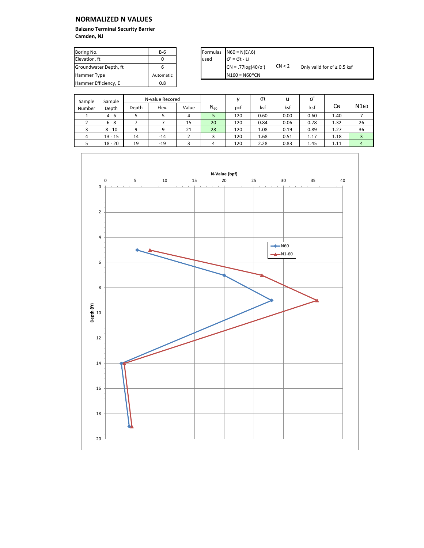| Boring No.            | $B-6$     |       | Formulas $N60 = N(E/.6)$  |        |                                       |
|-----------------------|-----------|-------|---------------------------|--------|---------------------------------------|
| Elevation. ft         |           | lused | $\sigma' = \sigma t - u$  |        |                                       |
| Groundwater Depth, ft |           |       | $CN = .77log(40/\sigma')$ | CN < 2 | Only valid for $\sigma' \geq 0.5$ ksf |
| Hammer Type           | Automatic |       | $N160 = N60*CN$           |        |                                       |
| Hammer Efficiency, E  | 0.8       |       |                           |        |                                       |

| Sample   | Sample    | N-value Recored |       |       |          |     | σt   | u    | σ    |      |                  |
|----------|-----------|-----------------|-------|-------|----------|-----|------|------|------|------|------------------|
| Number   | Depth     | Depth           | Elev. | Value | $N_{60}$ | pcf | ksf  | ksf  | ksf  | CΝ   | N <sub>160</sub> |
|          | $4 - 6$   |                 | -5    | 4     |          | 120 | 0.60 | 0.00 | 0.60 | 1.40 |                  |
|          | $6 - 8$   |                 | $-7$  | 15    | 20       | 120 | 0.84 | 0.06 | 0.78 | 1.32 | 26               |
|          | $8 - 10$  | 9               | -9    | 21    | 28       | 120 | 1.08 | 0.19 | 0.89 | 1.27 | 36               |
| $\Delta$ | $13 - 15$ | 14              | $-14$ |       |          | 120 | 1.68 | 0.51 | 1.17 | 1.18 |                  |
|          | $18 - 20$ | 19              | $-19$ | 3     | 4        | 120 | 2.28 | 0.83 | 1.45 | 1.11 | $\overline{4}$   |